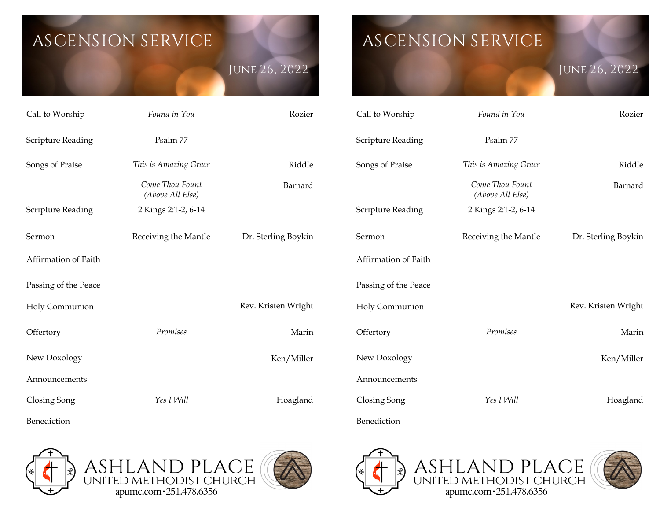# **ASCENSION SERVICE**

**June 26, 2022**

# Call to Worship *Found in You* Rozier Scripture Reading Psalm 77 Songs of Praise *This is Amazing Grace Come Thou Fount (Above All Else)* Riddle Barnard Scripture Reading 2 Kings 2:1-2, 6-14 Sermon Affirmation of Faith Receiving the Mantle Dr. Sterling Boykin Passing of the Peace Holy Communion Rev. Kristen Wright **Offertory** New Doxology *Promises* Marin Ken/Miller Announcements Closing Song *Yes I Will*  Hoagland

**ASCENSION SERVICE** 

## **June 26, 2022**

| Call to Worship          | Found in You                        | Rozier              |
|--------------------------|-------------------------------------|---------------------|
| <b>Scripture Reading</b> | Psalm 77                            |                     |
| Songs of Praise          | This is Amazing Grace               | Riddle              |
|                          | Come Thou Fount<br>(Above All Else) | Barnard             |
| Scripture Reading        | 2 Kings 2:1-2, 6-14                 |                     |
| Sermon                   | Receiving the Mantle                | Dr. Sterling Boykin |
| Affirmation of Faith     |                                     |                     |
| Passing of the Peace     |                                     |                     |
| Holy Communion           |                                     | Rev. Kristen Wright |
| Offertory                | Promises                            | Marin               |
| New Doxology             |                                     | Ken/Miller          |
| Announcements            |                                     |                     |
| Closing Song             | Yes I Will                          | Hoagland            |
| Benediction              |                                     |                     |



Benediction